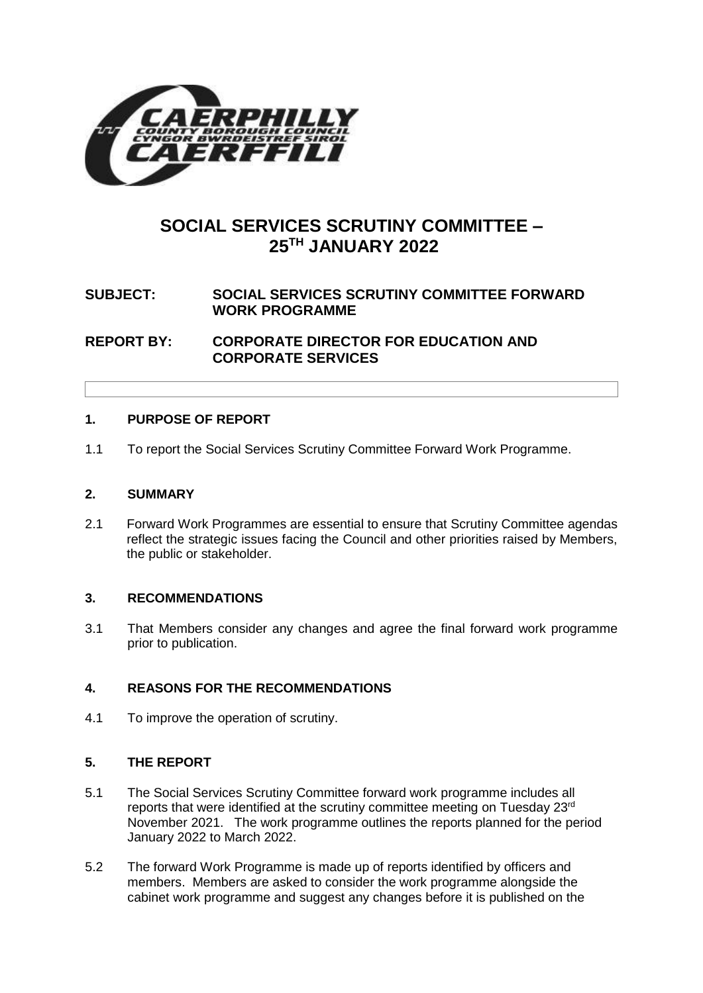

# **SOCIAL SERVICES SCRUTINY COMMITTEE – 25 TH JANUARY 2022**

## **SUBJECT: SOCIAL SERVICES SCRUTINY COMMITTEE FORWARD WORK PROGRAMME**

**REPORT BY: CORPORATE DIRECTOR FOR EDUCATION AND CORPORATE SERVICES**

## **1. PURPOSE OF REPORT**

1.1 To report the Social Services Scrutiny Committee Forward Work Programme.

#### **2. SUMMARY**

2.1 Forward Work Programmes are essential to ensure that Scrutiny Committee agendas reflect the strategic issues facing the Council and other priorities raised by Members, the public or stakeholder.

## **3. RECOMMENDATIONS**

3.1 That Members consider any changes and agree the final forward work programme prior to publication.

## **4. REASONS FOR THE RECOMMENDATIONS**

4.1 To improve the operation of scrutiny.

## **5. THE REPORT**

- 5.1 The Social Services Scrutiny Committee forward work programme includes all reports that were identified at the scrutiny committee meeting on Tuesday 23<sup>rd</sup> November 2021. The work programme outlines the reports planned for the period January 2022 to March 2022.
- 5.2 The forward Work Programme is made up of reports identified by officers and members. Members are asked to consider the work programme alongside the cabinet work programme and suggest any changes before it is published on the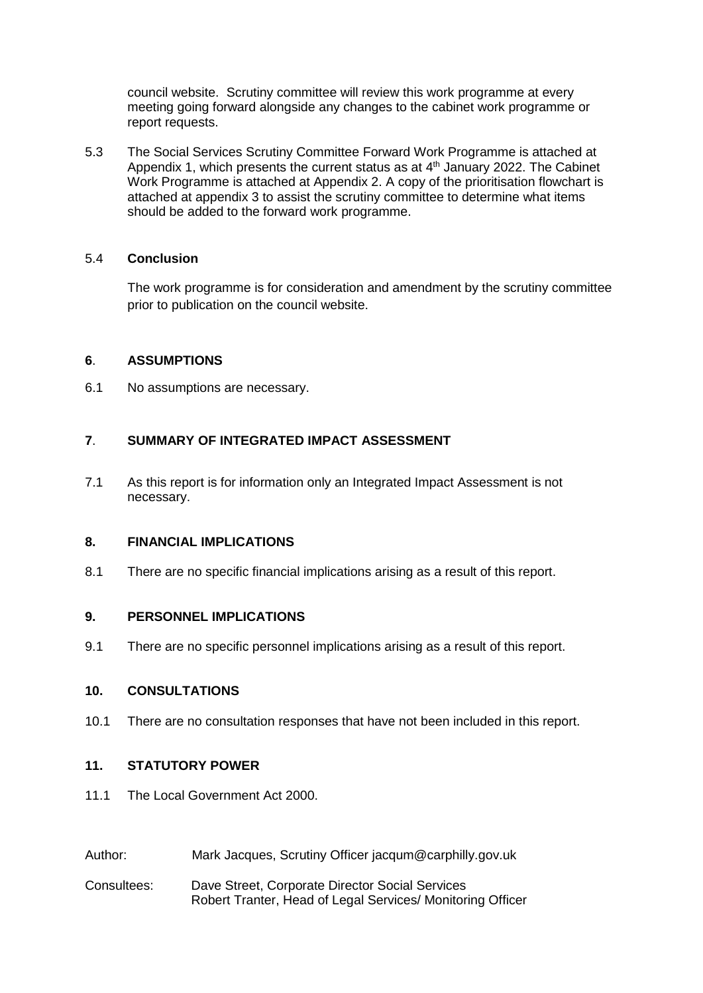council website. Scrutiny committee will review this work programme at every meeting going forward alongside any changes to the cabinet work programme or report requests.

5.3 The Social Services Scrutiny Committee Forward Work Programme is attached at Appendix 1, which presents the current status as at 4<sup>th</sup> January 2022. The Cabinet Work Programme is attached at Appendix 2. A copy of the prioritisation flowchart is attached at appendix 3 to assist the scrutiny committee to determine what items should be added to the forward work programme.

## 5.4 **Conclusion**

The work programme is for consideration and amendment by the scrutiny committee prior to publication on the council website.

#### **6**. **ASSUMPTIONS**

6.1 No assumptions are necessary.

## **7**. **SUMMARY OF INTEGRATED IMPACT ASSESSMENT**

7.1 As this report is for information only an Integrated Impact Assessment is not necessary.

#### **8. FINANCIAL IMPLICATIONS**

8.1 There are no specific financial implications arising as a result of this report.

#### **9. PERSONNEL IMPLICATIONS**

9.1 There are no specific personnel implications arising as a result of this report.

#### **10. CONSULTATIONS**

10.1 There are no consultation responses that have not been included in this report.

## **11. STATUTORY POWER**

- 11.1 The Local Government Act 2000.
- Author: Mark Jacques, Scrutiny Officer jacqum@carphilly.gov.uk
- Consultees: Dave Street, Corporate Director Social Services Robert Tranter, Head of Legal Services/ Monitoring Officer